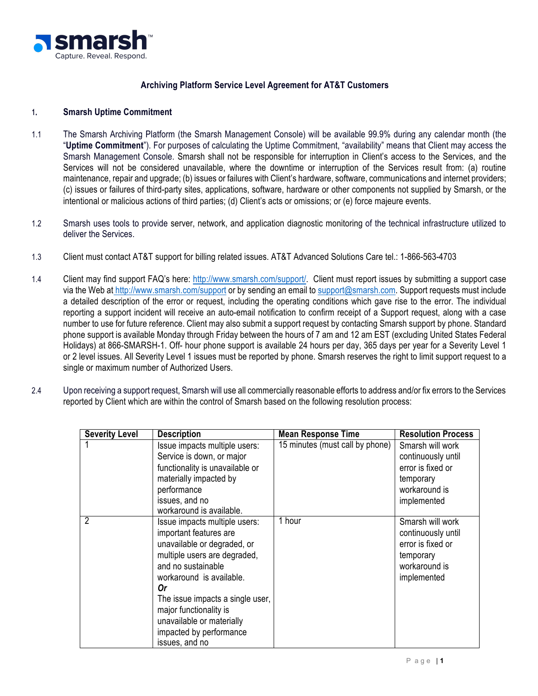

## **Archiving Platform Service Level Agreement for AT&T Customers**

## **1. Smarsh Uptime Commitment**

- 1.1 The Smarsh Archiving Platform (the Smarsh Management Console) will be available 99.9% during any calendar month (the "**Uptime Commitment**"). For purposes of calculating the Uptime Commitment, "availability" means that Client may access the Smarsh Management Console. Smarsh shall not be responsible for interruption in Client's access to the Services, and the Services will not be considered unavailable, where the downtime or interruption of the Services result from: (a) routine maintenance, repair and upgrade; (b) issues or failures with Client's hardware, software, communications and internet providers; (c) issues or failures of third-party sites, applications, software, hardware or other components not supplied by Smarsh, or the intentional or malicious actions of third parties; (d) Client's acts or omissions; or (e) force majeure events.
- 1.2 Smarsh uses tools to provide server, network, and application diagnostic monitoring of the technical infrastructure utilized to deliver the Services.
- 1.3 Client must contact AT&T support for billing related issues. AT&T Advanced Solutions Care tel.: 1-866-563-4703
- 1.4 Client may find support FAQ's here: http://www.smarsh.com/support/. Client must report issues by submitting a support case via the Web at http://www.smarsh.com/support or by sending an email to support@smarsh.com. Support requests must include a detailed description of the error or request, including the operating conditions which gave rise to the error. The individual reporting a support incident will receive an auto-email notification to confirm receipt of a Support request, along with a case number to use for future reference. Client may also submit a support request by contacting Smarsh support by phone. Standard phone support is available Monday through Friday between the hours of 7 am and 12 am EST (excluding United States Federal Holidays) at 866-SMARSH-1. Off- hour phone support is available 24 hours per day, 365 days per year for a Severity Level 1 or 2 level issues. All Severity Level 1 issues must be reported by phone. Smarsh reserves the right to limit support request to a single or maximum number of Authorized Users.
- 2.4 Upon receiving a support request, Smarsh will use all commercially reasonable efforts to address and/or fix errors to the Services reported by Client which are within the control of Smarsh based on the following resolution process:

| <b>Severity Level</b> | <b>Description</b>                                                                                                                                                                                                                                                                                                     | <b>Mean Response Time</b>       | <b>Resolution Process</b>                                                                                |
|-----------------------|------------------------------------------------------------------------------------------------------------------------------------------------------------------------------------------------------------------------------------------------------------------------------------------------------------------------|---------------------------------|----------------------------------------------------------------------------------------------------------|
|                       | Issue impacts multiple users:                                                                                                                                                                                                                                                                                          | 15 minutes (must call by phone) | Smarsh will work                                                                                         |
|                       | Service is down, or major                                                                                                                                                                                                                                                                                              |                                 | continuously until                                                                                       |
|                       | functionality is unavailable or                                                                                                                                                                                                                                                                                        |                                 | error is fixed or                                                                                        |
|                       | materially impacted by                                                                                                                                                                                                                                                                                                 |                                 | temporary                                                                                                |
|                       | performance                                                                                                                                                                                                                                                                                                            |                                 | workaround is                                                                                            |
|                       | issues, and no<br>workaround is available.                                                                                                                                                                                                                                                                             |                                 | implemented                                                                                              |
| $\overline{2}$        | Issue impacts multiple users:<br>important features are<br>unavailable or degraded, or<br>multiple users are degraded,<br>and no sustainable<br>workaround is available.<br>0r<br>The issue impacts a single user,<br>major functionality is<br>unavailable or materially<br>impacted by performance<br>issues, and no | 1 hour                          | Smarsh will work<br>continuously until<br>error is fixed or<br>temporary<br>workaround is<br>implemented |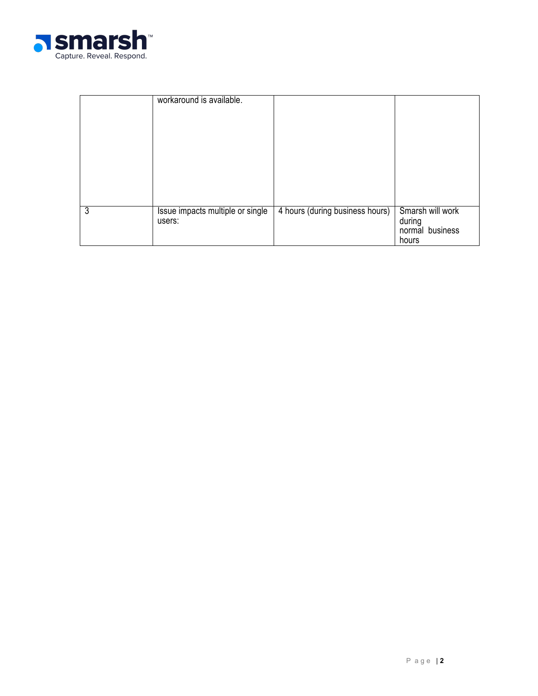

|   | workaround is available.                   |                                 |                                                        |
|---|--------------------------------------------|---------------------------------|--------------------------------------------------------|
| 3 | Issue impacts multiple or single<br>users: | 4 hours (during business hours) | Smarsh will work<br>during<br>normal business<br>hours |